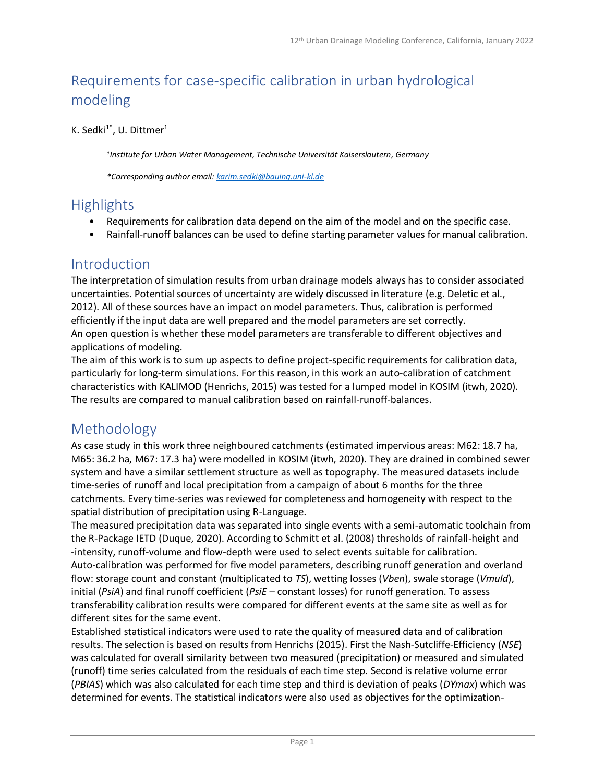# Requirements for case-specific calibration in urban hydrological modeling

#### K. Sedki $^{1*}$ , U. Dittmer $^{1}$

*1 Institute for Urban Water Management, Technische Universität Kaiserslautern, Germany*

*\*Corresponding author email: [karim.sedki@bauing.uni-kl.de](mailto:karim.sedki@bauing.uni-kl.de)*

# **Highlights**

- Requirements for calibration data depend on the aim of the model and on the specific case.
- Rainfall-runoff balances can be used to define starting parameter values for manual calibration.

#### Introduction

The interpretation of simulation results from urban drainage models always has to consider associated uncertainties. Potential sources of uncertainty are widely discussed in literature (e.g. Deletic et al., 2012). All of these sources have an impact on model parameters. Thus, calibration is performed efficiently if the input data are well prepared and the model parameters are set correctly. An open question is whether these model parameters are transferable to different objectives and applications of modeling.

The aim of this work is to sum up aspects to define project-specific requirements for calibration data, particularly for long-term simulations. For this reason, in this work an auto-calibration of catchment characteristics with KALIMOD (Henrichs, 2015) was tested for a lumped model in KOSIM (itwh, 2020). The results are compared to manual calibration based on rainfall-runoff-balances.

# Methodology

As case study in this work three neighboured catchments (estimated impervious areas: M62: 18.7 ha, M65: 36.2 ha, M67: 17.3 ha) were modelled in KOSIM (itwh, 2020). They are drained in combined sewer system and have a similar settlement structure as well as topography. The measured datasets include time-series of runoff and local precipitation from a campaign of about 6 months for the three catchments. Every time-series was reviewed for completeness and homogeneity with respect to the spatial distribution of precipitation using R-Language.

The measured precipitation data was separated into single events with a semi-automatic toolchain from the R-Package IETD (Duque, 2020). According to Schmitt et al. (2008) thresholds of rainfall-height and -intensity, runoff-volume and flow-depth were used to select events suitable for calibration. Auto-calibration was performed for five model parameters, describing runoff generation and overland flow: storage count and constant (multiplicated to *TS*), wetting losses (*Vben*), swale storage (*Vmuld*), initial (*PsiA*) and final runoff coefficient (*PsiE* – constant losses) for runoff generation. To assess transferability calibration results were compared for different events at the same site as well as for different sites for the same event.

Established statistical indicators were used to rate the quality of measured data and of calibration results. The selection is based on results from Henrichs (2015). First the Nash-Sutcliffe-Efficiency (*NSE*) was calculated for overall similarity between two measured (precipitation) or measured and simulated (runoff) time series calculated from the residuals of each time step. Second is relative volume error (*PBIAS*) which was also calculated for each time step and third is deviation of peaks (*DYmax*) which was determined for events. The statistical indicators were also used as objectives for the optimization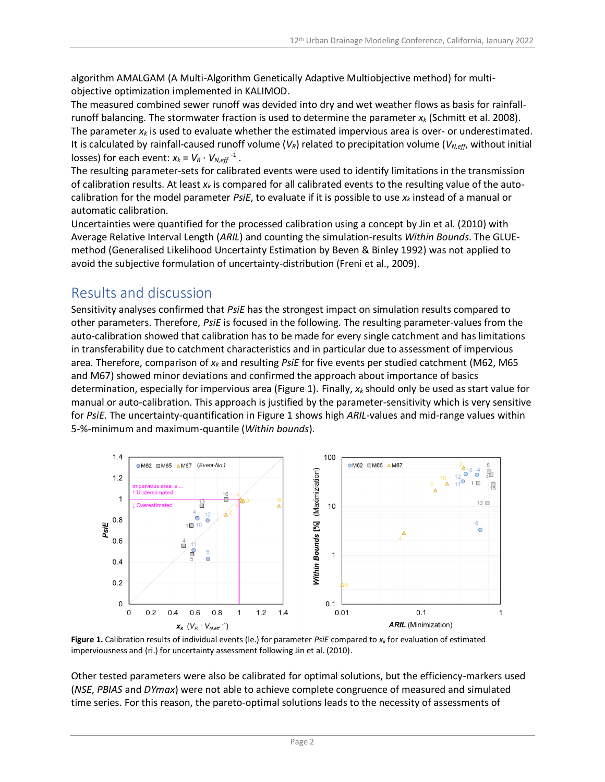algorithm AMALGAM (A Multi-Algorithm Genetically Adaptive Multiobjective method) for multiobjective optimization implemented in KALIMOD.

The measured combined sewer runoff was devided into dry and wet weather flows as basis for rainfallrunoff balancing. The stormwater fraction is used to determine the parameter *x<sup>k</sup>* (Schmitt et al. 2008). The parameter  $x_k$  is used to evaluate whether the estimated impervious area is over- or underestimated. It is calculated by rainfall-caused runoff volume (*VR*) related to precipitation volume (*VN,eff*, without initial losses) for each event:  $x_k = V_R \cdot V_{N,eff}^{-1}$ .

The resulting parameter-sets for calibrated events were used to identify limitations in the transmission of calibration results. At least *x<sup>k</sup>* is compared for all calibrated events to the resulting value of the autocalibration for the model parameter *PsiE*, to evaluate if it is possible to use *x<sup>k</sup>* instead of a manual or automatic calibration.

Uncertainties were quantified for the processed calibration using a concept by Jin et al. (2010) with Average Relative Interval Length (*ARIL*) and counting the simulation-results *Within Bounds*. The GLUEmethod (Generalised Likelihood Uncertainty Estimation by Beven & Binley 1992) was not applied to avoid the subjective formulation of uncertainty-distribution (Freni et al., 2009).

### Results and discussion

Sensitivity analyses confirmed that *PsiE* has the strongest impact on simulation results compared to other parameters. Therefore, *PsiE* is focused in the following. The resulting parameter-values from the auto-calibration showed that calibration has to be made for every single catchment and has limitations in transferability due to catchment characteristics and in particular due to assessment of impervious area. Therefore, comparison of *x<sup>k</sup>* and resulting *PsiE* for five events per studied catchment (M62, M65 and M67) showed minor deviations and confirmed the approach about importance of basics determination, especially for impervious area (Figure 1). Finally, *x<sup>k</sup>* should only be used as start value for manual or auto-calibration. This approach is justified by the parameter-sensitivity which is very sensitive for *PsiE*. The uncertainty-quantification in Figure 1 shows high *ARIL*-values and mid-range values within 5-%-minimum and maximum-quantile (*Within bounds*).



**Figure 1.** Calibration results of individual events (le.) for parameter *PsiE* compared to *x<sup>k</sup>* for evaluation of estimated imperviousness and (ri.) for uncertainty assessment following Jin et al. (2010).

Other tested parameters were also be calibrated for optimal solutions, but the efficiency-markers used (*NSE*, *PBIAS* and *DYmax*) were not able to achieve complete congruence of measured and simulated time series. For this reason, the pareto-optimal solutions leads to the necessity of assessments of